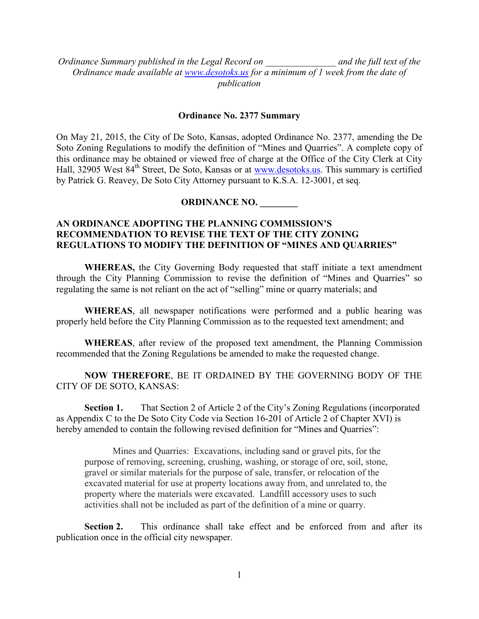*Ordinance Summary published in the Legal Record on \_\_\_\_\_\_\_\_\_\_\_\_\_\_\_ and the full text of the Ordinance made available at [www.desotoks.us](http://www.desotoks.us/) for a minimum of 1 week from the date of publication*

## **Ordinance No. 2377 Summary**

On May 21, 2015, the City of De Soto, Kansas, adopted Ordinance No. 2377, amending the De Soto Zoning Regulations to modify the definition of "Mines and Quarries". A complete copy of this ordinance may be obtained or viewed free of charge at the Office of the City Clerk at City Hall, 32905 West 84<sup>th</sup> Street, De Soto, Kansas or at [www.desotoks.us.](http://www.desotoks.us/) This summary is certified by Patrick G. Reavey, De Soto City Attorney pursuant to K.S.A. 12-3001, et seq.

## **ORDINANCE NO. \_\_\_\_\_\_\_\_**

## **AN ORDINANCE ADOPTING THE PLANNING COMMISSION'S RECOMMENDATION TO REVISE THE TEXT OF THE CITY ZONING REGULATIONS TO MODIFY THE DEFINITION OF "MINES AND QUARRIES"**

**WHEREAS,** the City Governing Body requested that staff initiate a text amendment through the City Planning Commission to revise the definition of "Mines and Quarries" so regulating the same is not reliant on the act of "selling" mine or quarry materials; and

**WHEREAS**, all newspaper notifications were performed and a public hearing was properly held before the City Planning Commission as to the requested text amendment; and

**WHEREAS**, after review of the proposed text amendment, the Planning Commission recommended that the Zoning Regulations be amended to make the requested change.

**NOW THEREFORE**, BE IT ORDAINED BY THE GOVERNING BODY OF THE CITY OF DE SOTO, KANSAS:

**Section 1.** That Section 2 of Article 2 of the City's Zoning Regulations (incorporated as Appendix C to the De Soto City Code via Section 16-201 of Article 2 of Chapter XVI) is hereby amended to contain the following revised definition for "Mines and Quarries":

Mines and Quarries: Excavations, including sand or gravel pits, for the purpose of removing, screening, crushing, washing, or storage of ore, soil, stone, gravel or similar materials for the purpose of sale, transfer, or relocation of the excavated material for use at property locations away from, and unrelated to, the property where the materials were excavated. Landfill accessory uses to such activities shall not be included as part of the definition of a mine or quarry.

**Section 2.** This ordinance shall take effect and be enforced from and after its publication once in the official city newspaper.